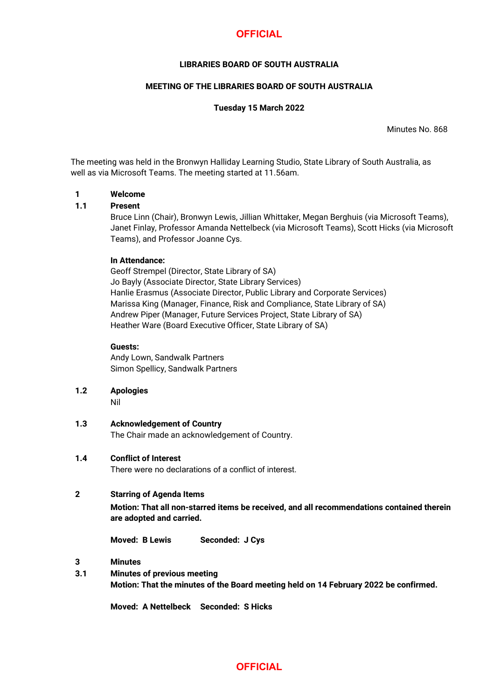# **OFFICIAL**

# **LIBRARIES BOARD OF SOUTH AUSTRALIA**

# **MEETING OF THE LIBRARIES BOARD OF SOUTH AUSTRALIA**

#### **Tuesday 15 March 2022**

Minutes No. 868

The meeting was held in the Bronwyn Halliday Learning Studio, State Library of South Australia, as well as via Microsoft Teams. The meeting started at 11.56am.

#### **1 Welcome**

# **1.1 Present**

Bruce Linn (Chair), Bronwyn Lewis, Jillian Whittaker, Megan Berghuis (via Microsoft Teams), Janet Finlay, Professor Amanda Nettelbeck (via Microsoft Teams), Scott Hicks (via Microsoft Teams), and Professor Joanne Cys.

#### **In Attendance:**

Geoff Strempel (Director, State Library of SA) Jo Bayly (Associate Director, State Library Services) Hanlie Erasmus (Associate Director, Public Library and Corporate Services) Marissa King (Manager, Finance, Risk and Compliance, State Library of SA) Andrew Piper (Manager, Future Services Project, State Library of SA) Heather Ware (Board Executive Officer, State Library of SA)

### **Guests:**

Andy Lown, Sandwalk Partners Simon Spellicy, Sandwalk Partners

**1.2 Apologies**

Nil

**1.3 Acknowledgement of Country** The Chair made an acknowledgement of Country.

# **1.4 Conflict of Interest**

There were no declarations of a conflict of interest.

# **2 Starring of Agenda Items**

**Motion: That all non-starred items be received, and all recommendations contained therein are adopted and carried.**

**Moved: B Lewis Seconded: J Cys**

#### **3 Minutes**

**3.1 Minutes of previous meeting Motion: That the minutes of the Board meeting held on 14 February 2022 be confirmed.**

**Moved: A Nettelbeck Seconded: S Hicks**

# **OFFICIAL**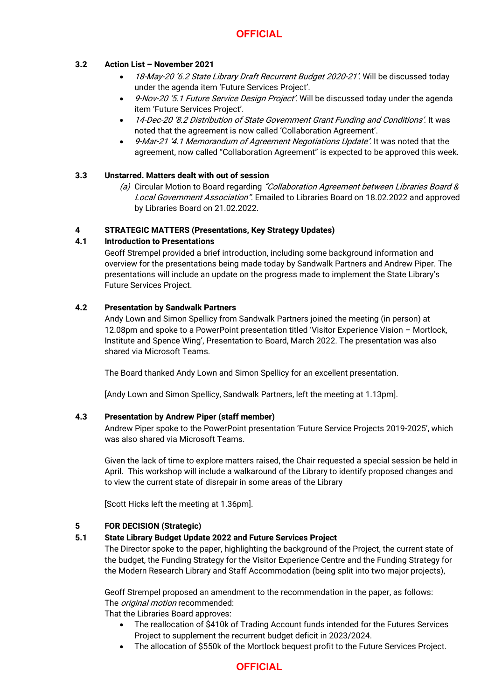# **3.2 Action List – November 2021**

- 18-May-20 '6.2 State Library Draft Recurrent Budget 2020-21'. Will be discussed today under the agenda item 'Future Services Project'.
- 9-Nov-20 '5.1 Future Service Design Project'. Will be discussed today under the agenda item 'Future Services Project'.
- 14-Dec-20 '8.2 Distribution of State Government Grant Funding and Conditions'. It was noted that the agreement is now called 'Collaboration Agreement'.
- 9-Mar-21 '4.1 Memorandum of Agreement Negotiations Update'. It was noted that the agreement, now called "Collaboration Agreement" is expected to be approved this week.

# **3.3 Unstarred. Matters dealt with out of session**

(a) Circular Motion to Board regarding "Collaboration Agreement between Libraries Board & Local Government Association". Emailed to Libraries Board on 18.02.2022 and approved by Libraries Board on 21.02.2022.

# **4 STRATEGIC MATTERS (Presentations, Key Strategy Updates)**

# **4.1 Introduction to Presentations**

Geoff Strempel provided a brief introduction, including some background information and overview for the presentations being made today by Sandwalk Partners and Andrew Piper. The presentations will include an update on the progress made to implement the State Library's Future Services Project.

# **4.2 Presentation by Sandwalk Partners**

Andy Lown and Simon Spellicy from Sandwalk Partners joined the meeting (in person) at 12.08pm and spoke to a PowerPoint presentation titled 'Visitor Experience Vision – Mortlock, Institute and Spence Wing', Presentation to Board, March 2022. The presentation was also shared via Microsoft Teams.

The Board thanked Andy Lown and Simon Spellicy for an excellent presentation.

[Andy Lown and Simon Spellicy, Sandwalk Partners, left the meeting at 1.13pm].

# **4.3 Presentation by Andrew Piper (staff member)**

Andrew Piper spoke to the PowerPoint presentation 'Future Service Projects 2019-2025', which was also shared via Microsoft Teams.

Given the lack of time to explore matters raised, the Chair requested a special session be held in April. This workshop will include a walkaround of the Library to identify proposed changes and to view the current state of disrepair in some areas of the Library

[Scott Hicks left the meeting at 1.36pm].

# **5 FOR DECISION (Strategic)**

# **5.1 State Library Budget Update 2022 and Future Services Project**

The Director spoke to the paper, highlighting the background of the Project, the current state of the budget, the Funding Strategy for the Visitor Experience Centre and the Funding Strategy for the Modern Research Library and Staff Accommodation (being split into two major projects),

Geoff Strempel proposed an amendment to the recommendation in the paper, as follows: The *original motion* recommended:

That the Libraries Board approves:

- The reallocation of \$410k of Trading Account funds intended for the Futures Services Project to supplement the recurrent budget deficit in 2023/2024.
- The allocation of \$550k of the Mortlock bequest profit to the Future Services Project.

# **OFFICIAL**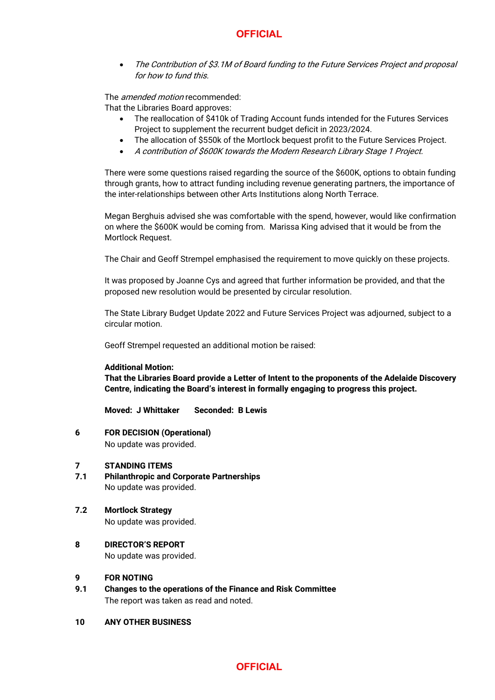# **OFFICIAL**

• The Contribution of \$3.1M of Board funding to the Future Services Project and proposal for how to fund this.

The *amended motion* recommended:

That the Libraries Board approves:

- The reallocation of \$410k of Trading Account funds intended for the Futures Services Project to supplement the recurrent budget deficit in 2023/2024.
- The allocation of \$550k of the Mortlock bequest profit to the Future Services Project.
- A contribution of \$600K towards the Modern Research Library Stage 1 Project.

There were some questions raised regarding the source of the \$600K, options to obtain funding through grants, how to attract funding including revenue generating partners, the importance of the inter-relationships between other Arts Institutions along North Terrace.

Megan Berghuis advised she was comfortable with the spend, however, would like confirmation on where the \$600K would be coming from. Marissa King advised that it would be from the Mortlock Request.

The Chair and Geoff Strempel emphasised the requirement to move quickly on these projects.

It was proposed by Joanne Cys and agreed that further information be provided, and that the proposed new resolution would be presented by circular resolution.

The State Library Budget Update 2022 and Future Services Project was adjourned, subject to a circular motion.

Geoff Strempel requested an additional motion be raised:

#### **Additional Motion:**

**That the Libraries Board provide a Letter of Intent to the proponents of the Adelaide Discovery Centre, indicating the Board's interest in formally engaging to progress this project.**

**Moved: J Whittaker Seconded: B Lewis**

**6 FOR DECISION (Operational)** No update was provided.

#### **7 STANDING ITEMS**

- **7.1 Philanthropic and Corporate Partnerships** No update was provided.
- **7.2 Mortlock Strategy** No update was provided.
- **8 DIRECTOR'S REPORT**

No update was provided.

#### **9 FOR NOTING**

- **9.1 Changes to the operations of the Finance and Risk Committee** The report was taken as read and noted.
- **10 ANY OTHER BUSINESS**

# **OFFICIAL**